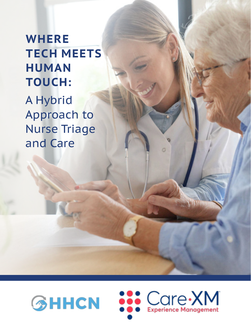# **WHERE TECH MEETS HUMAN TOUCH:**

A Hybrid Approach to Nurse Triage and Care



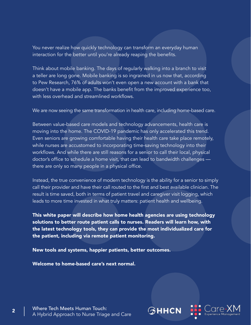You never realize how quickly technology can transform an everyday human interaction for the better until you're already reaping the benefits.

Think about mobile banking. The days of regularly walking into a branch to visit a teller are long gone. Mobile banking is so ingrained in us now that, according to Pew Research, 76% of adults won't even open a new account with a bank that doesn't have a mobile app. The banks benefit from the improved experience too, with less overhead and streamlined workflows.

We are now seeing the same transformation in health care, including home-based care.

Between value-based care models and technology advancements, health care is moving into the home. The COVID-19 pandemic has only accelerated this trend. Even seniors are growing comfortable having their health care take place remotely, while nurses are accustomed to incorporating time-saving technology into their workflows. And while there are still reasons for a senior to call their local, physical doctor's office to schedule a home visit, that can lead to bandwidth challenges there are only so many people in a physical office.

Instead, the true convenience of modern technology is the ability for a senior to simply call their provider and have their call routed to the first and best available clinician. The result is time saved, both in terms of patient travel and caregiver visit logging, which leads to more time invested in what truly matters: patient health and wellbeing.

This white paper will describe how home health agencies are using technology solutions to better route patient calls to nurses. Readers will learn how, with the latest technology tools, they can provide the most individualized care for the patient, including via remote patient monitoring.

New tools and systems, happier patients, better outcomes.

Welcome to home-based care's next normal.

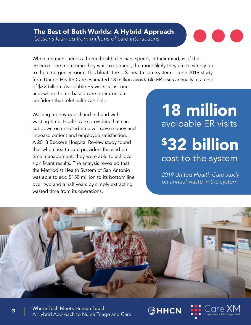### The Best of Both Worlds: A Hybrid Approach Lessons learned from millions of care interactions



When a patient needs a home health clinician, speed, in their mind, is of the essence. The more time they wait to connect, the more likely they are to simply go to the emergency room. This bloats the U.S. health care system — one 2019 study from United Health Care estimated 18 million avoidable ER visits annually at a cost

of \$32 billion. Avoidable ER visits is just one area where home-based care operators are confident that telehealth can help.

Wasting money goes hand-in-hand with wasting time. Health care providers that can cut down on misused time will save money and increase patient and employee satisfaction. A 2013 Becker's Hospital Review study found that when health care providers focused on time management, they were able to achieve significant results. The analysis revealed that the Methodist Health System of San Antonio was able to add \$150 million to its bottom line over two and a half years by simply extracting wasted time from its operations.

# 18 million avoidable ER visits

# \$32 billion cost to the system

2019 United Health Care study on annual waste in the system



 $\circledcirc$ HHCN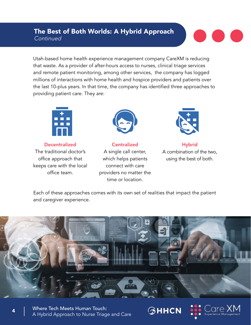# The Best of Both Worlds: A Hybrid Approach Continued



Utah-based home health experience management company CareXM is reducing that waste. As a provider of after-hours access to nurses, clinical triage services and remote patient monitoring, among other services, the company has logged millions of interactions with home health and hospice providers and patients over the last 10-plus years. In that time, the company has identified three approaches to providing patient care. They are:



**Decentralized** The traditional doctor's office approach that keeps care with the local office team.



**Centralized** A single call center, which helps patients connect with care providers no matter the time or location.



**Hybrid** A combination of the two, using the best of both.

Each of these approaches comes with its own set of realities that impact the patient and caregiver experience.



Where Tech Meets Human Touch: A Hybrid Approach to Nurse Triage and Care **GHHCN** 

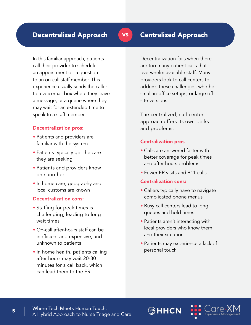In this familiar approach, patients call their provider to schedule an appointment or a question to an on-call staff member. This experience usually sends the caller to a voicemail box where they leave a message, or a queue where they may wait for an extended time to speak to a staff member.

#### Decentralization pros:

- Patients and providers are familiar with the system
- Patients typically get the care they are seeking
- Patients and providers know one another
- In home care, geography and local customs are known

#### Decentralization cons:

- Staffing for peak times is challenging, leading to long wait times
- On-call after-hours staff can be inefficient and expensive, and unknown to patients
- In home health, patients calling after hours may wait 20-30 minutes for a call back, which can lead them to the ER.

vs

Decentralization fails when there are too many patient calls that overwhelm available staff. Many providers look to call centers to address these challenges, whether small in-office setups, or large offsite versions.

The centralized, call-center approach offers its own perks and problems.

#### Centralization pros

- Calls are answered faster with better coverage for peak times and after-hours problems
- Fewer FR visits and 911 calls

#### Centralization cons:

- Callers typically have to navigate complicated phone menus
- Busy call centers lead to long queues and hold times
- Patients aren't interacting with local providers who know them and their situation
- Patients may experience a lack of personal touch

**GHHCN** 

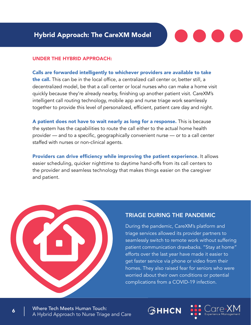

#### UNDER THE HYBRID APPROACH:

Calls are forwarded intelligently to whichever providers are available to take the call. This can be in the local office, a centralized call center or, better still, a decentralized model, be that a call center or local nurses who can make a home visit quickly because they're already nearby, finishing up another patient visit. CareXM's intelligent call routing technology, mobile app and nurse triage work seamlessly together to provide this level of personalized, efficient, patient care day and night.

A patient does not have to wait nearly as long for a response. This is because the system has the capabilities to route the call either to the actual home health provider — and to a specific, geographically convenient nurse — or to a call center staffed with nurses or non-clinical agents.

Providers can drive efficiency while improving the patient experience. It allows easier scheduling, quicker nighttime to daytime hand-offs from its call centers to the provider and seamless technology that makes things easier on the caregiver and patient.

### TRIAGE DURING THE PANDEMIC

**GHHCN** 

During the pandemic, CareXM's platform and triage services allowed its provider partners to seamlessly switch to remote work without suffering patient communication drawbacks. "Stay at home" efforts over the last year have made it easier to get faster service via phone or video from their homes. They also raised fear for seniors who were worried about their own conditions or potential complications from a COVID-19 infection.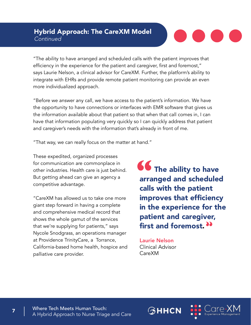### Hybrid Approach: The CareXM Model **Continued**



"The ability to have arranged and scheduled calls with the patient improves that efficiency in the experience for the patient and caregiver, first and foremost," says Laurie Nelson, a clinical advisor for CareXM. Further, the platform's ability to integrate with EHRs and provide remote patient monitoring can provide an even more individualized approach.

"Before we answer any call, we have access to the patient's information. We have the opportunity to have connections or interfaces with EMR software that gives us the information available about that patient so that when that call comes in, I can have that information populating very quickly so I can quickly address that patient and caregiver's needs with the information that's already in front of me.

"That way, we can really focus on the matter at hand."

These expedited, organized processes for communication are commonplace in other industries. Health care is just behind. But getting ahead can give an agency a competitive advantage.

"CareXM has allowed us to take one more giant step forward in having a complete and comprehensive medical record that shows the whole gamut of the services that we're supplying for patients," says Nycole Snodgrass, an operations manager at Providence TrinityCare, a Torrance, California-based home health, hospice and palliative care provider.

 $\bullet\bullet$  The ability to have arranged and scheduled calls with the patient improves that efficiency in the experience for the patient and caregiver, first and foremost.<sup>33</sup> **"**

Laurie Nelson Clinical Advisor CareXM

**GHHCN** 

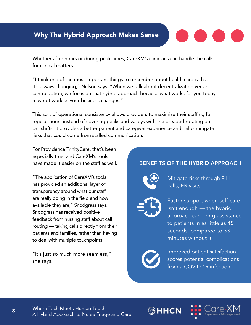# Why The Hybrid Approach Makes Sense



Whether after hours or during peak times, CareXM's clinicians can handle the calls for clinical matters.

"I think one of the most important things to remember about health care is that it's always changing," Nelson says. "When we talk about decentralization versus centralization, we focus on that hybrid approach because what works for you today may not work as your business changes."

This sort of operational consistency allows providers to maximize their staffing for regular hours instead of covering peaks and valleys with the dreaded rotating oncall shifts. It provides a better patient and caregiver experience and helps mitigate risks that could come from stalled communication.

For Providence TrinityCare, that's been especially true, and CareXM's tools have made it easier on the staff as well.

"The application of CareXM's tools has provided an additional layer of transparency around what our staff are really doing in the field and how available they are," Snodgrass says. Snodgrass has received positive feedback from nursing staff about call routing — taking calls directly from their patients and families, rather than having to deal with multiple touchpoints.

"It's just so much more seamless," she says.

## BENEFITS OF THE HYBRID APPROACH



Mitigate risks through 911 calls, ER visits



Faster support when self-care isn't enough — the hybrid approach can bring assistance to patients in as little as 45 seconds, compared to 33 minutes without it



**GHHCN** 

Improved patient satisfaction scores potential complications from a COVID-19 infection.

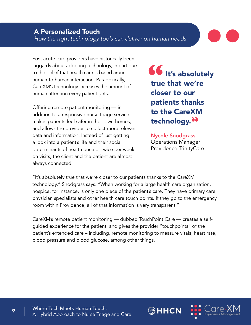Post-acute care providers have historically been laggards about adopting technology, in part due to the belief that health care is based around human-to-human interaction. Paradoxically, CareXM's technology increases the amount of human attention every patient gets.

Offering remote patient monitoring — in addition to a responsive nurse triage service makes patients feel safer in their own homes, and allows the provider to collect more relevant data and information. Instead of just getting a look into a patient's life and their social determinants of health once or twice per week on visits, the client and the patient are almost always connected.

**UV** It's absolutely true that we're closer to our patients thanks to the CareXM technology.<sup>33</sup> **"**

Nycole Snodgrass Operations Manager Providence TrinityCare

**GHHCN** 

"It's absolutely true that we're closer to our patients thanks to the CareXM technology," Snodgrass says. "When working for a large health care organization, hospice, for instance, is only one piece of the patient's care. They have primary care physician specialists and other health care touch points. If they go to the emergency room within Providence, all of that information is very transparent."

CareXM's remote patient monitoring — dubbed TouchPoint Care — creates a selfguided experience for the patient, and gives the provider "touchpoints" of the patient's extended care – including, remote monitoring to measure vitals, heart rate, blood pressure and blood glucose, among other things.

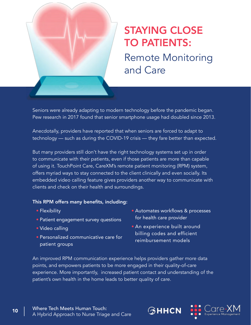

# STAYING CLOSE TO PATIENTS: Remote Monitoring

and Care

Seniors were already adapting to modern technology before the pandemic began. Pew research in 2017 found that senior smartphone usage had doubled since 2013.

Anecdotally, providers have reported that when seniors are forced to adapt to technology — such as during the COVID-19 crisis — they fare better than expected.

But many providers still don't have the right technology systems set up in order to communicate with their patients, even if those patients are more than capable of using it. TouchPoint Care, CareXM's remote patient monitoring (RPM) system, offers myriad ways to stay connected to the client clinically and even socially. Its embedded video calling feature gives providers another way to communicate with clients and check on their health and surroundings.

#### This RPM offers many benefits, including:

- Flexibility
- Patient engagement survey questions
- Video calling
- Personalized communicative care for patient groups
- Automates workflows & processes for health care provider
- An experience built around billing codes and efficient reimbursement models

**GHHCN** 

An improved RPM communication experience helps providers gather more data points, and empowers patients to be more engaged in their quality-of-care experience. More importantly, increased patient contact and understanding of the patient's own health in the home leads to better quality of care.

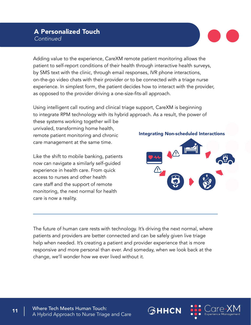## A Personalized Touch **Continued**

Adding value to the experience, CareXM remote patient monitoring allows the patient to self-report conditions of their health through interactive health surveys, by SMS text with the clinic, through email responses, IVR phone interactions, on-the-go video chats with their provider or to be connected with a triage nurse experience. In simplest form, the patient decides how to interact with the provider, as opposed to the provider driving a one-size-fits-all approach.

Using intelligent call routing and clinical triage support, CareXM is beginning to integrate RPM technology with its hybrid approach. As a result, the power of

these systems working together will be unrivaled, transforming home health, remote patient monitoring and chronic care management at the same time.

Like the shift to mobile banking, patients now can navigate a similarly self-guided experience in health care. From quick access to nurses and other health care staff and the support of remote monitoring, the next normal for health care is now a reality.

Integrating Non-scheduled Interactions

The future of human care rests with technology. It's driving the next normal, where patients and providers are better connected and can be safely given live triage help when needed. It's creating a patient and provider experience that is more responsive and more personal than ever. And someday, when we look back at the change, we'll wonder how we ever lived without it.



 $\circledcirc$ ннсм